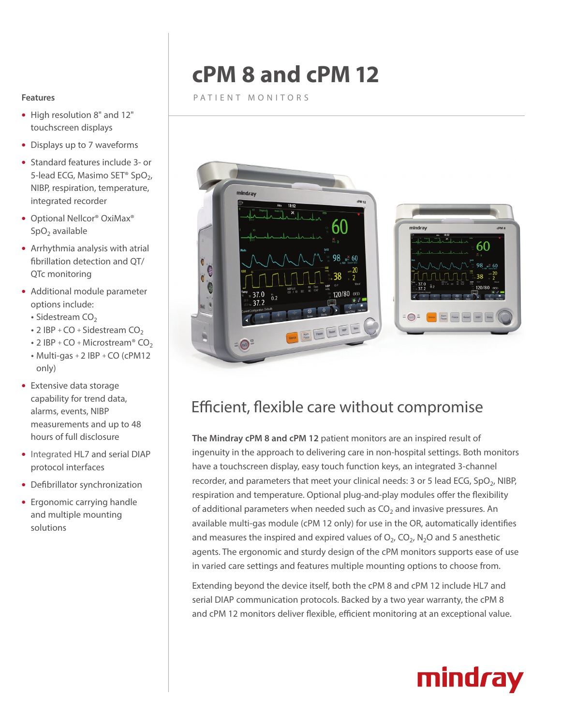## **cPM 8 and cPM 12**

PATIENT MONITORS



- High resolution 8" and 12" touchscreen displays
- Displays up to 7 waveforms
- Standard features include 3- or 5-lead ECG, Masimo SET<sup>®</sup> SpO<sub>2</sub>, NIBP, respiration, temperature, integrated recorder
- Optional Nellcor® OxiMax®  $SpO<sub>2</sub>$  available
- $\bullet$  Arrhythmia analysis with atrial fibrillation detection and QT/ QTc monitoring
- Additional module parameter options include:
	- $\cdot$  Sidestream CO<sub>2</sub>
	- $\cdot$  2 IBP + CO + Sidestream CO<sub>2</sub>
	- $\cdot$  2 IBP + CO + Microstream® CO<sub>2</sub>
	- $\bullet$  Multi-gas + 2 IBP + CO (cPM12 only)
- Extensive data storage capability for trend data, alarms, events, NIBP measurements and up to 48 hours of full disclosure
- Integrated HL7 and serial DIAP protocol interfaces
- Defibrillator synchronization
- Ergonomic carrying handle and multiple mounting solutions



### Efficient, flexible care without compromise

**The Mindray cPM 8 and cPM 12** patient monitors are an inspired result of ingenuity in the approach to delivering care in non-hospital settings. Both monitors have a touchscreen display, easy touch function keys, an integrated 3-channel recorder, and parameters that meet your clinical needs: 3 or 5 lead ECG, SpO<sub>2</sub>, NIBP, respiration and temperature. Optional plug-and-play modules offer the flexibility of additional parameters when needed such as  $CO<sub>2</sub>$  and invasive pressures. An available multi-gas module (cPM 12 only) for use in the OR, automatically identifies and measures the inspired and expired values of  $O_2$ ,  $CO_2$ ,  $N_2O$  and 5 anesthetic agents. The ergonomic and sturdy design of the cPM monitors supports ease of use in varied care settings and features multiple mounting options to choose from.

Extending beyond the device itself, both the cPM 8 and cPM 12 include HL7 and serial DIAP communication protocols. Backed by a two year warranty, the cPM 8 and cPM 12 monitors deliver flexible, efficient monitoring at an exceptional value.